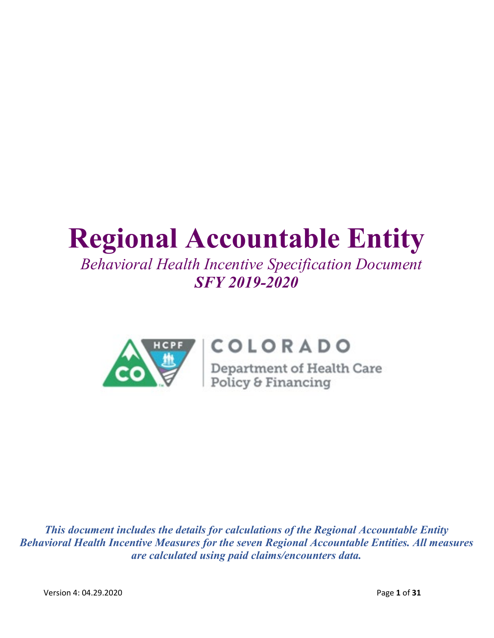# **Regional Accountable Entity**

# *Behavioral Health Incentive Specification Document SFY 2019-2020*



# COLORADO

**COLORADO**<br>Department of Health Care<br>Policy & Financing

*This document includes the details for calculations of the Regional Accountable Entity Behavioral Health Incentive Measures for the seven Regional Accountable Entities. All measures are calculated using paid claims/encounters data.*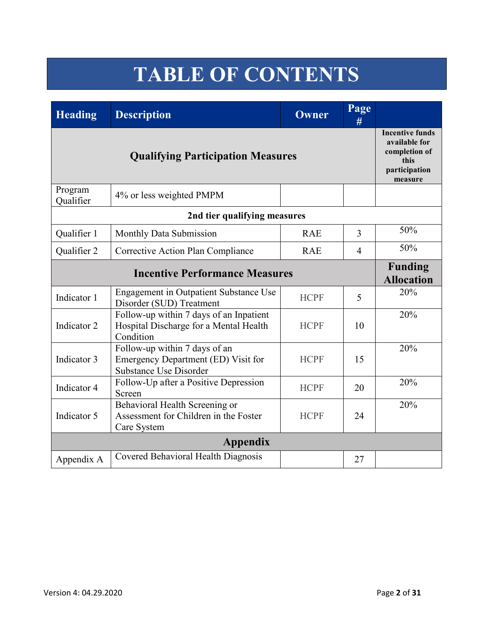# **TABLE OF CONTENTS**

| <b>Heading</b>       | <b>Description</b>                                                                                    | <b>Owner</b> | Page<br>#      |     |
|----------------------|-------------------------------------------------------------------------------------------------------|--------------|----------------|-----|
|                      | <b>Incentive funds</b><br>available for<br>completion of<br>this<br>participation<br>measure          |              |                |     |
| Program<br>Qualifier | 4% or less weighted PMPM                                                                              |              |                |     |
|                      | 2nd tier qualifying measures                                                                          |              |                |     |
| Qualifier 1          | Monthly Data Submission                                                                               | <b>RAE</b>   | $\overline{3}$ | 50% |
| Qualifier 2          | Corrective Action Plan Compliance                                                                     | <b>RAE</b>   | $\overline{4}$ | 50% |
|                      | <b>Funding</b><br><b>Allocation</b>                                                                   |              |                |     |
| Indicator 1          | Engagement in Outpatient Substance Use<br>Disorder (SUD) Treatment                                    | <b>HCPF</b>  | 5              | 20% |
| Indicator 2          | Follow-up within 7 days of an Inpatient<br>Hospital Discharge for a Mental Health<br>Condition        | <b>HCPF</b>  | 10             | 20% |
| Indicator 3          | Follow-up within 7 days of an<br>Emergency Department (ED) Visit for<br><b>Substance Use Disorder</b> | <b>HCPF</b>  | 15             | 20% |
| Indicator 4          | Follow-Up after a Positive Depression<br>Screen                                                       | <b>HCPF</b>  | 20             | 20% |
| Indicator 5          | Behavioral Health Screening or<br>Assessment for Children in the Foster<br>Care System                | <b>HCPF</b>  | 24             | 20% |
|                      | <b>Appendix</b>                                                                                       |              |                |     |
| Appendix A           | Covered Behavioral Health Diagnosis                                                                   |              | 27             |     |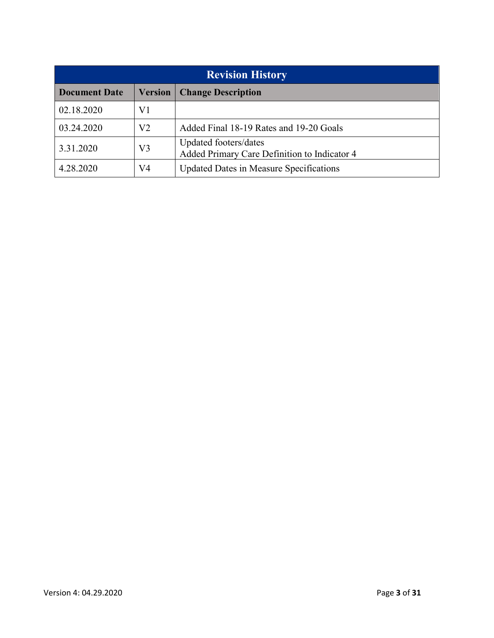| <b>Revision History</b> |                |                                                                       |  |  |  |  |
|-------------------------|----------------|-----------------------------------------------------------------------|--|--|--|--|
| <b>Document Date</b>    | <b>Version</b> | <b>Change Description</b>                                             |  |  |  |  |
| 02.18.2020              | V1             |                                                                       |  |  |  |  |
| 03.24.2020              | V2             | Added Final 18-19 Rates and 19-20 Goals                               |  |  |  |  |
| 3.31.2020               | V3             | Updated footers/dates<br>Added Primary Care Definition to Indicator 4 |  |  |  |  |
| 4.28.2020               | V4             | <b>Updated Dates in Measure Specifications</b>                        |  |  |  |  |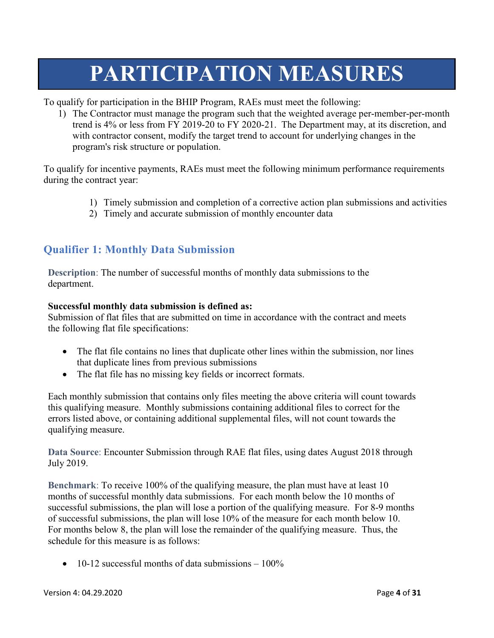# **PARTICIPATION MEASURES**

To qualify for participation in the BHIP Program, RAEs must meet the following:

1) The Contractor must manage the program such that the weighted average per-member-per-month trend is 4% or less from FY 2019-20 to FY 2020-21. The Department may, at its discretion, and with contractor consent, modify the target trend to account for underlying changes in the program's risk structure or population.

To qualify for incentive payments, RAEs must meet the following minimum performance requirements during the contract year:

- 1) Timely submission and completion of a corrective action plan submissions and activities
- 2) Timely and accurate submission of monthly encounter data

## **Qualifier 1: Monthly Data Submission**

**Description**: The number of successful months of monthly data submissions to the department.

#### **Successful monthly data submission is defined as:**

Submission of flat files that are submitted on time in accordance with the contract and meets the following flat file specifications:

- The flat file contains no lines that duplicate other lines within the submission, nor lines that duplicate lines from previous submissions
- The flat file has no missing key fields or incorrect formats.

Each monthly submission that contains only files meeting the above criteria will count towards this qualifying measure. Monthly submissions containing additional files to correct for the errors listed above, or containing additional supplemental files, will not count towards the qualifying measure.

**Data Source**: Encounter Submission through RAE flat files, using dates August 2018 through July 2019.

**Benchmark**: To receive 100% of the qualifying measure, the plan must have at least 10 months of successful monthly data submissions. For each month below the 10 months of successful submissions, the plan will lose a portion of the qualifying measure. For 8-9 months of successful submissions, the plan will lose 10% of the measure for each month below 10. For months below 8, the plan will lose the remainder of the qualifying measure. Thus, the schedule for this measure is as follows:

• 10-12 successful months of data submissions  $-100\%$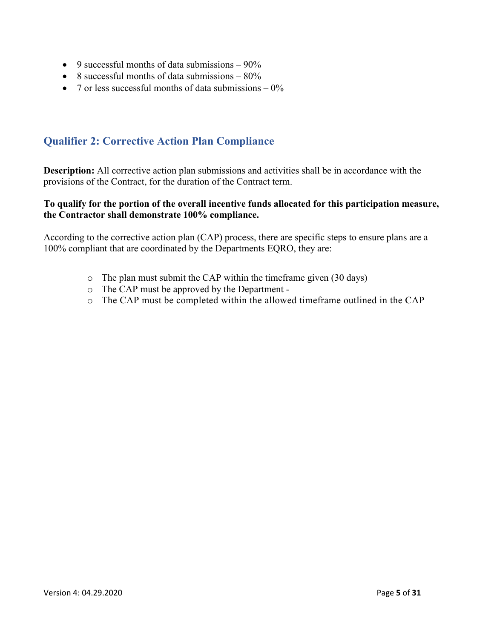- 9 successful months of data submissions  $-90\%$
- 8 successful months of data submissions  $-80\%$
- 7 or less successful months of data submissions  $-0\%$

## **Qualifier 2: Corrective Action Plan Compliance**

**Description:** All corrective action plan submissions and activities shall be in accordance with the provisions of the Contract, for the duration of the Contract term.

#### **To qualify for the portion of the overall incentive funds allocated for this participation measure, the Contractor shall demonstrate 100% compliance.**

According to the corrective action plan (CAP) process, there are specific steps to ensure plans are a 100% compliant that are coordinated by the Departments EQRO, they are:

- o The plan must submit the CAP within the timeframe given (30 days)
- o The CAP must be approved by the Department -
- o The CAP must be completed within the allowed timeframe outlined in the CAP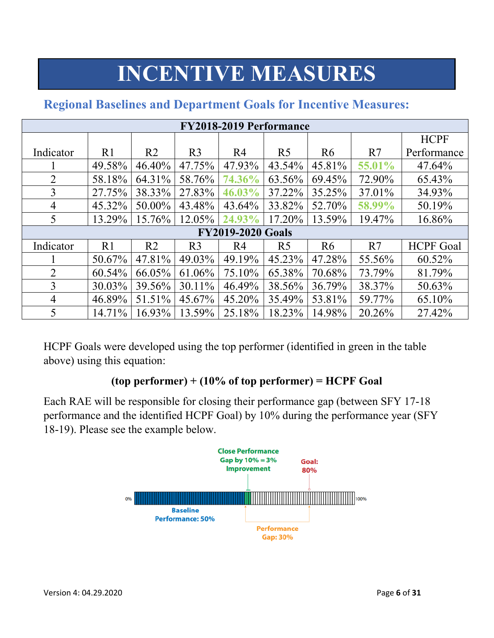# **INCENTIVE MEASURES**

| <b>FY2018-2019 Performance</b> |                |                |                |                          |                |                |        |                  |
|--------------------------------|----------------|----------------|----------------|--------------------------|----------------|----------------|--------|------------------|
|                                |                |                |                |                          |                |                |        | <b>HCPF</b>      |
| Indicator                      | R <sub>1</sub> | R <sub>2</sub> | R <sub>3</sub> | R <sub>4</sub>           | R <sub>5</sub> | R <sub>6</sub> | R7     | Performance      |
|                                | 49.58%         | 46.40%         | 47.75%         | 47.93%                   | 43.54%         | 45.81%         | 55.01% | 47.64%           |
| $\overline{2}$                 | 58.18%         | 64.31%         | 58.76%         | 74.36%                   | 63.56%         | 69.45%         | 72.90% | 65.43%           |
| 3                              | 27.75%         | 38.33%         | 27.83%         | 46.03%                   | 37.22%         | 35.25%         | 37.01% | 34.93%           |
| 4                              | 45.32%         | 50.00%         | 43.48%         | 43.64%                   | 33.82%         | 52.70%         | 58.99% | 50.19%           |
| 5                              | 13.29%         | 15.76%         | 12.05%         | 24.93%                   | 17.20%         | 13.59%         | 19.47% | 16.86%           |
|                                |                |                |                | <b>FY2019-2020 Goals</b> |                |                |        |                  |
| Indicator                      | R <sub>1</sub> | R <sub>2</sub> | R <sub>3</sub> | R4                       | R <sub>5</sub> | R <sub>6</sub> | R7     | <b>HCPF</b> Goal |
|                                | 50.67%         | 47.81%         | 49.03%         | 49.19%                   | 45.23%         | 47.28%         | 55.56% | 60.52%           |
| $\overline{2}$                 | 60.54%         | 66.05%         | 61.06%         | 75.10%                   | 65.38%         | 70.68%         | 73.79% | 81.79%           |
| 3                              | 30.03%         | 39.56%         | 30.11%         | 46.49%                   | 38.56%         | 36.79%         | 38.37% | 50.63%           |
| $\overline{4}$                 | 46.89%         | 51.51%         | 45.67%         | 45.20%                   | 35.49%         | 53.81%         | 59.77% | 65.10%           |
| 5                              | 14.71%         | 16.93%         | 13.59%         | 25.18%                   | 18.23%         | 14.98%         | 20.26% | 27.42%           |

## **Regional Baselines and Department Goals for Incentive Measures:**

HCPF Goals were developed using the top performer (identified in green in the table above) using this equation:

## **(top performer) + (10% of top performer) = HCPF Goal**

Each RAE will be responsible for closing their performance gap (between SFY 17-18 performance and the identified HCPF Goal) by 10% during the performance year (SFY 18-19). Please see the example below.

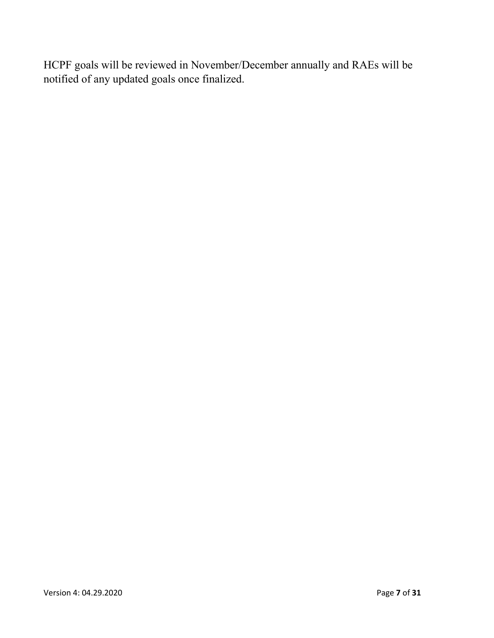HCPF goals will be reviewed in November/December annually and RAEs will be notified of any updated goals once finalized.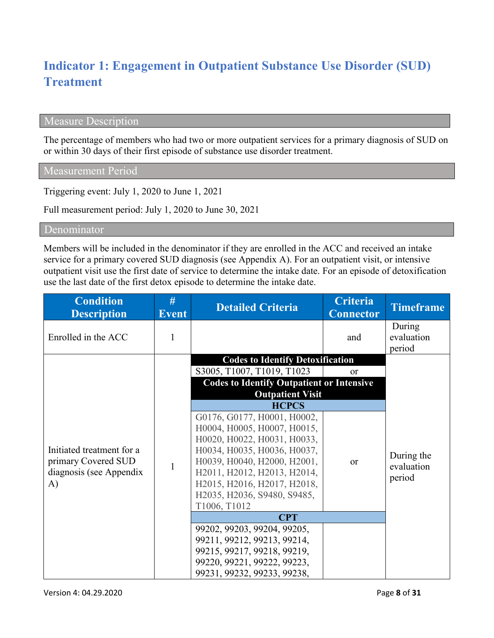# **Indicator 1: Engagement in Outpatient Substance Use Disorder (SUD) Treatment**

## Measure Description

The percentage of members who had two or more outpatient services for a primary diagnosis of SUD on or within 30 days of their first episode of substance use disorder treatment.

Measurement Period

Triggering event: July 1, 2020 to June 1, 2021

Full measurement period: July 1, 2020 to June 30, 2021

Denominator

Members will be included in the denominator if they are enrolled in the ACC and received an intake service for a primary covered SUD diagnosis (see Appendix A). For an outpatient visit, or intensive outpatient visit use the first date of service to determine the intake date. For an episode of detoxification use the last date of the first detox episode to determine the intake date.

| <b>Condition</b><br><b>Description</b>                                                      | #<br><b>Event</b> | <b>Detailed Criteria</b>                                                                                                                                                                                                                                             | <b>Criteria</b><br><b>Connector</b> | <b>Timeframe</b>                   |
|---------------------------------------------------------------------------------------------|-------------------|----------------------------------------------------------------------------------------------------------------------------------------------------------------------------------------------------------------------------------------------------------------------|-------------------------------------|------------------------------------|
| Enrolled in the ACC                                                                         |                   |                                                                                                                                                                                                                                                                      | and                                 | During<br>evaluation<br>period     |
|                                                                                             |                   | <b>Codes to Identify Detoxification</b>                                                                                                                                                                                                                              |                                     |                                    |
|                                                                                             |                   | S3005, T1007, T1019, T1023                                                                                                                                                                                                                                           | <b>or</b>                           |                                    |
|                                                                                             |                   | <b>Codes to Identify Outpatient or Intensive</b><br><b>Outpatient Visit</b>                                                                                                                                                                                          |                                     |                                    |
|                                                                                             |                   | <b>HCPCS</b>                                                                                                                                                                                                                                                         |                                     |                                    |
| Initiated treatment for a<br>primary Covered SUD<br>diagnosis (see Appendix<br>$\mathbf{A}$ | $\mathbf{1}$      | G0176, G0177, H0001, H0002,<br>H0004, H0005, H0007, H0015,<br>H0020, H0022, H0031, H0033,<br>H0034, H0035, H0036, H0037,<br>H0039, H0040, H2000, H2001,<br>H2011, H2012, H2013, H2014,<br>H2015, H2016, H2017, H2018,<br>H2035, H2036, S9480, S9485,<br>T1006, T1012 | <b>or</b>                           | During the<br>evaluation<br>period |
|                                                                                             |                   | <b>CPT</b>                                                                                                                                                                                                                                                           |                                     |                                    |
|                                                                                             |                   | 99202, 99203, 99204, 99205,<br>99211, 99212, 99213, 99214,<br>99215, 99217, 99218, 99219,<br>99220, 99221, 99222, 99223,<br>99231, 99232, 99233, 99238,                                                                                                              |                                     |                                    |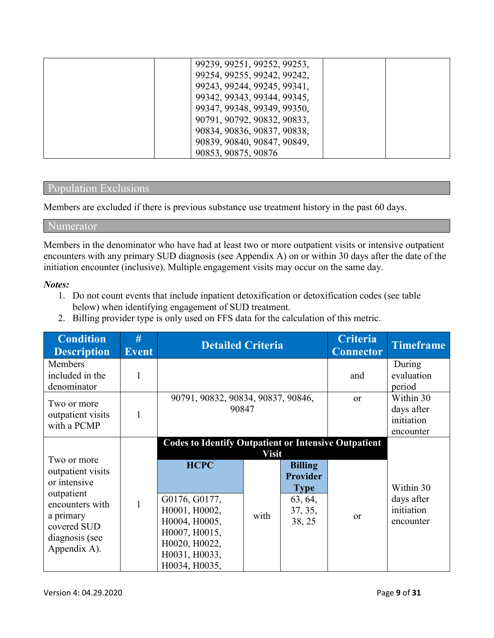| 99239, 99251, 99252, 99253, |  |
|-----------------------------|--|
| 99254, 99255, 99242, 99242, |  |
| 99243, 99244, 99245, 99341, |  |
| 99342, 99343, 99344, 99345, |  |
| 99347, 99348, 99349, 99350, |  |
| 90791, 90792, 90832, 90833, |  |
| 90834, 90836, 90837, 90838, |  |
| 90839, 90840, 90847, 90849, |  |
| 90853, 90875, 90876         |  |

#### Population Exclusions

Members are excluded if there is previous substance use treatment history in the past 60 days.

#### Numerator

Members in the denominator who have had at least two or more outpatient visits or intensive outpatient encounters with any primary SUD diagnosis (see Appendix A) on or within 30 days after the date of the initiation encounter (inclusive). Multiple engagement visits may occur on the same day.

#### *Notes:*

- 1. Do not count events that include inpatient detoxification or detoxification codes (see table below) when identifying engagement of SUD treatment.
- 2. Billing provider type is only used on FFS data for the calculation of this metric.

| <b>Condition</b><br><b>Description</b>                                                                                          | #<br><b>Event</b> | <b>Detailed Criteria</b>                                                                                                                                        |                      |                                                                                  | <b>Criteria</b><br><b>Connector</b> | <b>Timeframe</b>                                   |
|---------------------------------------------------------------------------------------------------------------------------------|-------------------|-----------------------------------------------------------------------------------------------------------------------------------------------------------------|----------------------|----------------------------------------------------------------------------------|-------------------------------------|----------------------------------------------------|
| <b>Members</b><br>included in the<br>denominator                                                                                |                   |                                                                                                                                                                 |                      |                                                                                  | and                                 | During<br>evaluation<br>period                     |
| Two or more<br>outpatient visits<br>with a PCMP                                                                                 |                   | 90791, 90832, 90834, 90837, 90846,<br>90847                                                                                                                     |                      |                                                                                  | <b>or</b>                           | Within 30<br>days after<br>initiation<br>encounter |
| Two or more<br>outpatient visits<br>or intensive<br>outpatient<br>encounters with<br>a primary<br>covered SUD<br>diagnosis (see |                   | <b>Codes to Identify Outpatient or Intensive Outpatient</b><br><b>HCPC</b><br>G0176, G0177,<br>H0001, H0002,<br>H0004, H0005,<br>H0007, H0015,<br>H0020, H0022, | <b>Visit</b><br>with | <b>Billing</b><br><b>Provider</b><br><b>Type</b><br>63, 64,<br>37, 35,<br>38, 25 | <b>or</b>                           | Within 30<br>days after<br>initiation<br>encounter |
| Appendix A).                                                                                                                    |                   | H0031, H0033,<br>H0034, H0035,                                                                                                                                  |                      |                                                                                  |                                     |                                                    |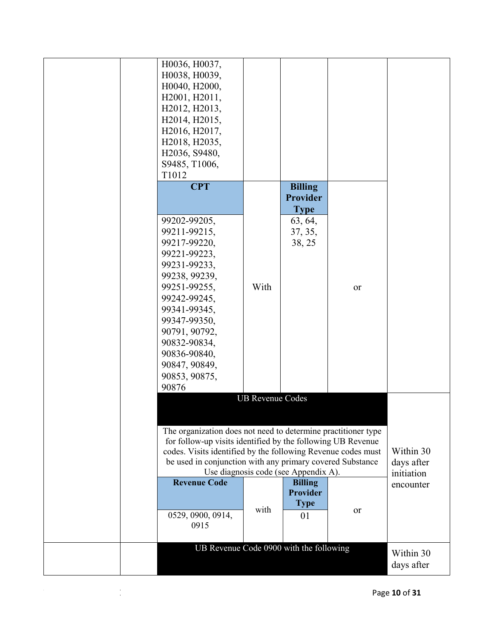|  | H0036, H0037,                                                 |                         |                                      |           |            |
|--|---------------------------------------------------------------|-------------------------|--------------------------------------|-----------|------------|
|  | H0038, H0039,                                                 |                         |                                      |           |            |
|  | H0040, H2000,                                                 |                         |                                      |           |            |
|  | H2001, H2011,                                                 |                         |                                      |           |            |
|  | H2012, H2013,                                                 |                         |                                      |           |            |
|  | H2014, H2015,                                                 |                         |                                      |           |            |
|  | H2016, H2017,                                                 |                         |                                      |           |            |
|  | H2018, H2035,                                                 |                         |                                      |           |            |
|  | H2036, S9480,                                                 |                         |                                      |           |            |
|  | S9485, T1006,                                                 |                         |                                      |           |            |
|  | T1012                                                         |                         |                                      |           |            |
|  | <b>CPT</b>                                                    |                         | <b>Billing</b>                       |           |            |
|  |                                                               |                         | <b>Provider</b>                      |           |            |
|  |                                                               |                         | <b>Type</b>                          |           |            |
|  | 99202-99205,                                                  |                         | 63, 64,                              |           |            |
|  | 99211-99215,                                                  |                         | 37, 35,                              |           |            |
|  | 99217-99220,                                                  |                         | 38, 25                               |           |            |
|  | 99221-99223,                                                  |                         |                                      |           |            |
|  | 99231-99233,                                                  |                         |                                      |           |            |
|  | 99238, 99239,                                                 |                         |                                      |           |            |
|  | 99251-99255,                                                  | With                    |                                      | <b>or</b> |            |
|  | 99242-99245,                                                  |                         |                                      |           |            |
|  | 99341-99345,                                                  |                         |                                      |           |            |
|  | 99347-99350,                                                  |                         |                                      |           |            |
|  | 90791, 90792,                                                 |                         |                                      |           |            |
|  | 90832-90834,                                                  |                         |                                      |           |            |
|  | 90836-90840,                                                  |                         |                                      |           |            |
|  | 90847, 90849,                                                 |                         |                                      |           |            |
|  | 90853, 90875,                                                 |                         |                                      |           |            |
|  | 90876                                                         |                         |                                      |           |            |
|  |                                                               | <b>UB Revenue Codes</b> |                                      |           |            |
|  |                                                               |                         |                                      |           |            |
|  |                                                               |                         |                                      |           |            |
|  | The organization does not need to determine practitioner type |                         |                                      |           |            |
|  | for follow-up visits identified by the following UB Revenue   |                         |                                      |           |            |
|  | codes. Visits identified by the following Revenue codes must  |                         |                                      |           | Within 30  |
|  | be used in conjunction with any primary covered Substance     |                         |                                      |           | days after |
|  |                                                               |                         | Use diagnosis code (see Appendix A). |           | initiation |
|  | <b>Revenue Code</b>                                           |                         | <b>Billing</b>                       |           | encounter  |
|  |                                                               |                         | <b>Provider</b>                      |           |            |
|  |                                                               |                         | <b>Type</b>                          |           |            |
|  | 0529, 0900, 0914,                                             | with                    | 01                                   | or        |            |
|  | 0915                                                          |                         |                                      |           |            |
|  |                                                               |                         |                                      |           |            |
|  | UB Revenue Code 0900 with the following                       |                         |                                      |           | Within 30  |
|  |                                                               |                         |                                      |           |            |
|  |                                                               |                         |                                      |           | days after |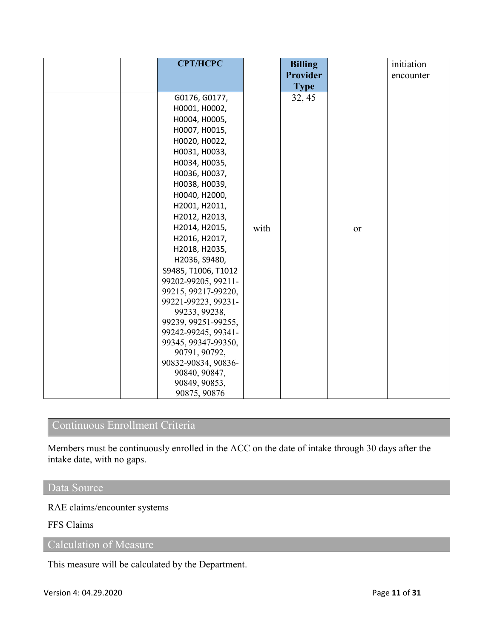| <b>CPT/HCPC</b>                      |      | <b>Billing</b>  |    | initiation |
|--------------------------------------|------|-----------------|----|------------|
|                                      |      | <b>Provider</b> |    | encounter  |
|                                      |      | <b>Type</b>     |    |            |
| G0176, G0177,                        |      | 32, 45          |    |            |
| H0001, H0002,                        |      |                 |    |            |
| H0004, H0005,                        |      |                 |    |            |
| H0007, H0015,                        |      |                 |    |            |
| H0020, H0022,                        |      |                 |    |            |
| H0031, H0033,                        |      |                 |    |            |
| H0034, H0035,                        |      |                 |    |            |
| H0036, H0037,                        |      |                 |    |            |
| H0038, H0039,                        |      |                 |    |            |
| H0040, H2000,                        |      |                 |    |            |
| H2001, H2011,                        |      |                 |    |            |
| H2012, H2013,                        |      |                 |    |            |
| H2014, H2015,                        | with |                 | or |            |
| H2016, H2017,                        |      |                 |    |            |
| H2018, H2035,                        |      |                 |    |            |
| H2036, S9480,                        |      |                 |    |            |
| S9485, T1006, T1012                  |      |                 |    |            |
| 99202-99205, 99211-                  |      |                 |    |            |
| 99215, 99217-99220,                  |      |                 |    |            |
| 99221-99223, 99231-                  |      |                 |    |            |
| 99233, 99238,                        |      |                 |    |            |
| 99239, 99251-99255,                  |      |                 |    |            |
| 99242-99245, 99341-                  |      |                 |    |            |
| 99345, 99347-99350,                  |      |                 |    |            |
| 90791, 90792,                        |      |                 |    |            |
| 90832-90834, 90836-<br>90840, 90847, |      |                 |    |            |
| 90849, 90853,                        |      |                 |    |            |
| 90875, 90876                         |      |                 |    |            |

## Continuous Enrollment Criteria

Members must be continuously enrolled in the ACC on the date of intake through 30 days after the intake date, with no gaps.

#### Data Source

RAE claims/encounter systems

FFS Claims

Calculation of Measure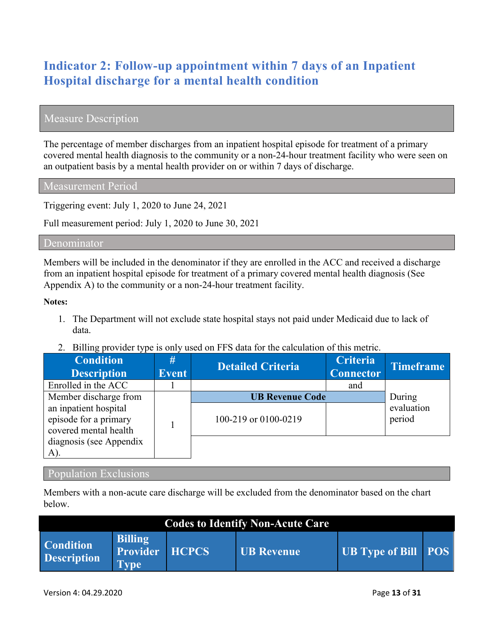# **Indicator 2: Follow-up appointment within 7 days of an Inpatient Hospital discharge for a mental health condition**

## Measure Description

The percentage of member discharges from an inpatient hospital episode for treatment of a primary covered mental health diagnosis to the community or a non-24-hour treatment facility who were seen on an outpatient basis by a mental health provider on or within 7 days of discharge.

Measurement Period

Triggering event: July 1, 2020 to June 24, 2021

Full measurement period: July 1, 2020 to June 30, 2021

#### Denominator

Members will be included in the denominator if they are enrolled in the ACC and received a discharge from an inpatient hospital episode for treatment of a primary covered mental health diagnosis (See Appendix A) to the community or a non-24-hour treatment facility.

#### **Notes:**

- 1. The Department will not exclude state hospital stays not paid under Medicaid due to lack of data.
- 2. Billing provider type is only used on FFS data for the calculation of this metric.

| <b>Condition</b><br><b>Description</b>                                  | #<br><b>Event</b> | <b>Detailed Criteria</b>                       | <b>Criteria</b><br><b>Connector</b> | <b>Timeframe</b>               |
|-------------------------------------------------------------------------|-------------------|------------------------------------------------|-------------------------------------|--------------------------------|
| Enrolled in the ACC                                                     |                   |                                                | and                                 |                                |
| Member discharge from<br>an inpatient hospital<br>episode for a primary |                   | <b>UB Revenue Code</b><br>100-219 or 0100-0219 |                                     | During<br>evaluation<br>period |
| covered mental health<br>diagnosis (see Appendix<br>A).                 |                   |                                                |                                     |                                |

#### Population Exclusions

Members with a non-acute care discharge will be excluded from the denominator based on the chart below.

| <b>Codes to Identify Non-Acute Care</b> |                                                  |              |            |                            |  |  |  |  |
|-----------------------------------------|--------------------------------------------------|--------------|------------|----------------------------|--|--|--|--|
| <b>Condition</b><br><b>Description</b>  | <b>Billing</b><br><b>Provider</b><br><b>Type</b> | <b>HCPCS</b> | UB Revenue | <b>UB Type of Bill POS</b> |  |  |  |  |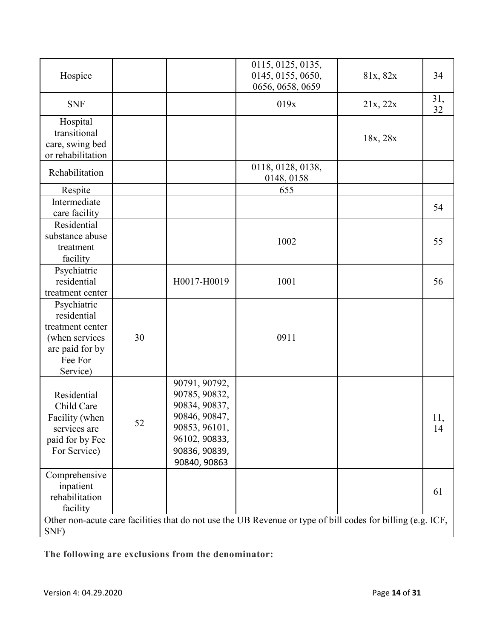| Hospice                                                                                                    |    |                                                                                                                                     | 0115, 0125, 0135,<br>0145, 0155, 0650,<br>0656, 0658, 0659                                                  | 81x, 82x | 34        |
|------------------------------------------------------------------------------------------------------------|----|-------------------------------------------------------------------------------------------------------------------------------------|-------------------------------------------------------------------------------------------------------------|----------|-----------|
| <b>SNF</b>                                                                                                 |    |                                                                                                                                     | 019x                                                                                                        | 21x, 22x | 31,<br>32 |
| Hospital<br>transitional<br>care, swing bed<br>or rehabilitation                                           |    |                                                                                                                                     |                                                                                                             | 18x, 28x |           |
| Rehabilitation                                                                                             |    |                                                                                                                                     | 0118, 0128, 0138,<br>0148, 0158                                                                             |          |           |
| Respite                                                                                                    |    |                                                                                                                                     | 655                                                                                                         |          |           |
| Intermediate<br>care facility                                                                              |    |                                                                                                                                     |                                                                                                             |          | 54        |
| Residential<br>substance abuse<br>treatment<br>facility                                                    |    |                                                                                                                                     | 1002                                                                                                        |          | 55        |
| Psychiatric<br>residential<br>treatment center                                                             |    | H0017-H0019                                                                                                                         | 1001                                                                                                        |          | 56        |
| Psychiatric<br>residential<br>treatment center<br>(when services<br>are paid for by<br>Fee For<br>Service) | 30 |                                                                                                                                     | 0911                                                                                                        |          |           |
| Residential<br>Child Care<br>Facility (when<br>services are<br>paid for by Fee<br>For Service)             | 52 | 90791, 90792,<br>90785, 90832,<br>90834, 90837,<br>90846, 90847,<br>90853, 96101,<br>96102, 90833,<br>90836, 90839,<br>90840, 90863 |                                                                                                             |          | 11,<br>14 |
| Comprehensive<br>inpatient<br>rehabilitation<br>facility                                                   |    |                                                                                                                                     |                                                                                                             |          | 61        |
| SNF)                                                                                                       |    |                                                                                                                                     | Other non-acute care facilities that do not use the UB Revenue or type of bill codes for billing (e.g. ICF, |          |           |

**The following are exclusions from the denominator:**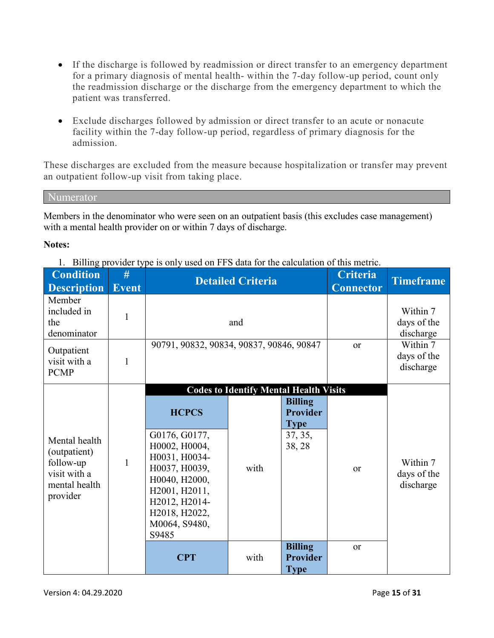- If the discharge is followed by readmission or direct transfer to an emergency department for a primary diagnosis of mental health- within the 7-day follow-up period, count only the readmission discharge or the discharge from the emergency department to which the patient was transferred.
- Exclude discharges followed by admission or direct transfer to an acute or nonacute facility within the 7-day follow-up period, regardless of primary diagnosis for the admission.

These discharges are excluded from the measure because hospitalization or transfer may prevent an outpatient follow-up visit from taking place.

Numerator

Members in the denominator who were seen on an outpatient basis (this excludes case management) with a mental health provider on or within 7 days of discharge.

#### **Notes:**

1. Billing provider type is only used on FFS data for the calculation of this metric.

| <b>Event</b>                                                                                                                                                                                 | <b>Detailed Criteria</b>                                      |                                                                                                            |                                      | <b>Timeframe</b>                     |
|----------------------------------------------------------------------------------------------------------------------------------------------------------------------------------------------|---------------------------------------------------------------|------------------------------------------------------------------------------------------------------------|--------------------------------------|--------------------------------------|
|                                                                                                                                                                                              | and                                                           |                                                                                                            | Within 7<br>days of the<br>discharge |                                      |
| 90791, 90832, 90834, 90837, 90846, 90847                                                                                                                                                     |                                                               | <b>or</b>                                                                                                  | Within 7<br>days of the<br>discharge |                                      |
| <b>HCPCS</b><br>G0176, G0177,<br>H0002, H0004,<br>H0031, H0034-<br>H0037, H0039,<br>H0040, H2000,<br>H2001, H2011,<br>H2012, H2014-<br>H2018, H2022,<br>M0064, S9480,<br>S9485<br><b>CPT</b> | <b>Codes to Identify Mental Health Visits</b><br>with<br>with | <b>Billing</b><br><b>Provider</b><br><b>Type</b><br>37, 35,<br>38, 28<br><b>Billing</b><br><b>Provider</b> | or<br><sub>or</sub>                  | Within 7<br>days of the<br>discharge |
|                                                                                                                                                                                              |                                                               |                                                                                                            | <b>Type</b>                          |                                      |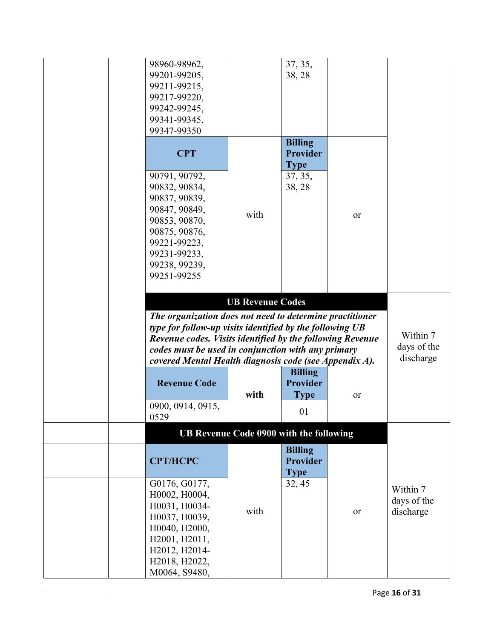| 98960-98962,                                              |                                         | 37, 35,         |    |             |
|-----------------------------------------------------------|-----------------------------------------|-----------------|----|-------------|
| 99201-99205,                                              |                                         | 38, 28          |    |             |
| 99211-99215,                                              |                                         |                 |    |             |
|                                                           |                                         |                 |    |             |
| 99217-99220,                                              |                                         |                 |    |             |
| 99242-99245,                                              |                                         |                 |    |             |
| 99341-99345,                                              |                                         |                 |    |             |
| 99347-99350                                               |                                         |                 |    |             |
|                                                           |                                         | <b>Billing</b>  |    |             |
| <b>CPT</b>                                                |                                         | <b>Provider</b> |    |             |
|                                                           |                                         | <b>Type</b>     |    |             |
|                                                           |                                         |                 |    |             |
| 90791, 90792,                                             |                                         | 37, 35,         |    |             |
| 90832, 90834,                                             |                                         | 38, 28          |    |             |
| 90837, 90839,                                             |                                         |                 |    |             |
| 90847, 90849,                                             | with                                    |                 |    |             |
| 90853, 90870,                                             |                                         |                 | or |             |
| 90875, 90876,                                             |                                         |                 |    |             |
| 99221-99223,                                              |                                         |                 |    |             |
| 99231-99233,                                              |                                         |                 |    |             |
|                                                           |                                         |                 |    |             |
| 99238, 99239,                                             |                                         |                 |    |             |
| 99251-99255                                               |                                         |                 |    |             |
|                                                           |                                         |                 |    |             |
|                                                           | <b>UB Revenue Codes</b>                 |                 |    |             |
| The organization does not need to determine practitioner  |                                         |                 |    |             |
| type for follow-up visits identified by the following UB  |                                         |                 |    |             |
| Revenue codes. Visits identified by the following Revenue |                                         |                 |    | Within 7    |
| codes must be used in conjunction with any primary        |                                         |                 |    | days of the |
| covered Mental Health diagnosis code (see Appendix A).    |                                         |                 |    | discharge   |
|                                                           |                                         | <b>Billing</b>  |    |             |
|                                                           |                                         |                 |    |             |
| <b>Revenue Code</b>                                       |                                         | Provider        |    |             |
|                                                           | with                                    | <b>Type</b>     | or |             |
| 0900, 0914, 0915,                                         |                                         | 01              |    |             |
| 0529                                                      |                                         |                 |    |             |
|                                                           | UB Revenue Code 0900 with the following |                 |    |             |
|                                                           |                                         | <b>Billing</b>  |    |             |
| <b>CPT/HCPC</b>                                           |                                         | <b>Provider</b> |    |             |
|                                                           |                                         |                 |    |             |
|                                                           |                                         | <b>Type</b>     |    |             |
| G0176, G0177,                                             |                                         | 32, 45          |    | Within 7    |
| H0002, H0004,                                             |                                         |                 |    | days of the |
| H0031, H0034-                                             |                                         |                 |    |             |
| H0037, H0039,                                             | with                                    |                 | or | discharge   |
| H0040, H2000,                                             |                                         |                 |    |             |
| H2001, H2011,                                             |                                         |                 |    |             |
| H2012, H2014-                                             |                                         |                 |    |             |
|                                                           |                                         |                 |    |             |
| H2018, H2022,                                             |                                         |                 |    |             |
| M0064, S9480,                                             |                                         |                 |    |             |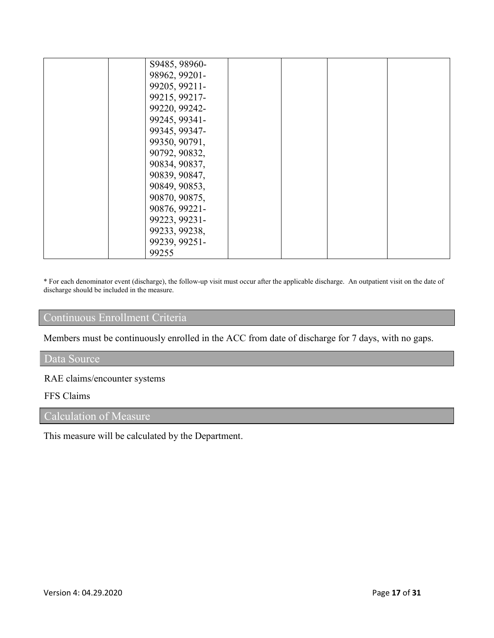| S9485, 98960- |  |  |
|---------------|--|--|
|               |  |  |
| 98962, 99201- |  |  |
| 99205, 99211- |  |  |
| 99215, 99217- |  |  |
| 99220, 99242- |  |  |
| 99245, 99341- |  |  |
| 99345, 99347- |  |  |
| 99350, 90791, |  |  |
| 90792, 90832, |  |  |
| 90834, 90837, |  |  |
| 90839, 90847, |  |  |
| 90849, 90853, |  |  |
| 90870, 90875, |  |  |
| 90876, 99221- |  |  |
| 99223, 99231- |  |  |
| 99233, 99238, |  |  |
| 99239, 99251- |  |  |
| 99255         |  |  |

\* For each denominator event (discharge), the follow-up visit must occur after the applicable discharge. An outpatient visit on the date of discharge should be included in the measure.

## Continuous Enrollment Criteria

Members must be continuously enrolled in the ACC from date of discharge for 7 days, with no gaps.

#### Data Source

### RAE claims/encounter systems

#### FFS Claims

# Calculation of Measure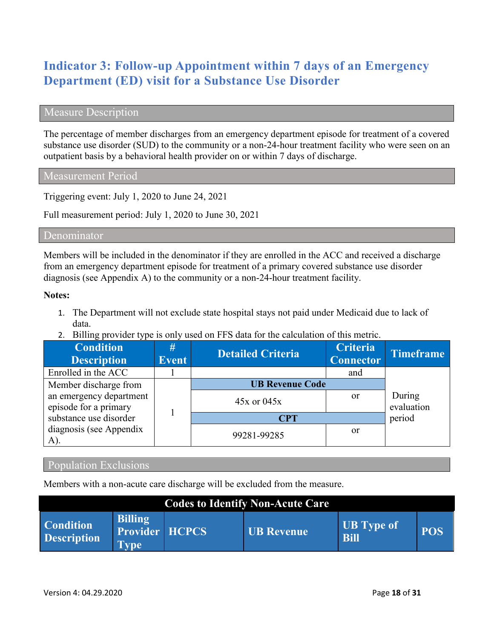## **Indicator 3: Follow-up Appointment within 7 days of an Emergency Department (ED) visit for a Substance Use Disorder**

#### Measure Description

The percentage of member discharges from an emergency department episode for treatment of a covered substance use disorder (SUD) to the community or a non-24-hour treatment facility who were seen on an outpatient basis by a behavioral health provider on or within 7 days of discharge.

Measurement Period

Triggering event: July 1, 2020 to June 24, 2021

Full measurement period: July 1, 2020 to June 30, 2021

#### Denominator

Members will be included in the denominator if they are enrolled in the ACC and received a discharge from an emergency department episode for treatment of a primary covered substance use disorder diagnosis (see Appendix A) to the community or a non-24-hour treatment facility.

#### **Notes:**

- 1. The Department will not exclude state hospital stays not paid under Medicaid due to lack of data.
- 2. Billing provider type is only used on FFS data for the calculation of this metric.

| <b>Condition</b><br><b>Description</b>           | #<br><b>Event</b> | <b>Detailed Criteria</b> | <b>Criteria</b><br><b>Connector</b> | <b>Timeframe</b>     |
|--------------------------------------------------|-------------------|--------------------------|-------------------------------------|----------------------|
| Enrolled in the ACC                              |                   |                          | and                                 |                      |
| Member discharge from                            |                   | <b>UB Revenue Code</b>   |                                     |                      |
| an emergency department<br>episode for a primary |                   | $45x$ or $045x$          | <sub>or</sub>                       | During<br>evaluation |
| substance use disorder                           |                   | <b>CPT</b>               |                                     | period               |
| diagnosis (see Appendix<br>A).                   |                   | 99281-99285              | <sub>or</sub>                       |                      |

#### Population Exclusions

Members with a non-acute care discharge will be excluded from the measure.

| <b>Codes to Identify Non-Acute Care</b> |                                                 |  |                   |                                  |            |  |  |  |  |  |
|-----------------------------------------|-------------------------------------------------|--|-------------------|----------------------------------|------------|--|--|--|--|--|
| <b>Condition</b><br><b>Description</b>  | <b>Billing</b><br>Provider HCPCS<br><b>Type</b> |  | <b>UB</b> Revenue | <b>UB</b> Type of<br><b>Bill</b> | <b>POS</b> |  |  |  |  |  |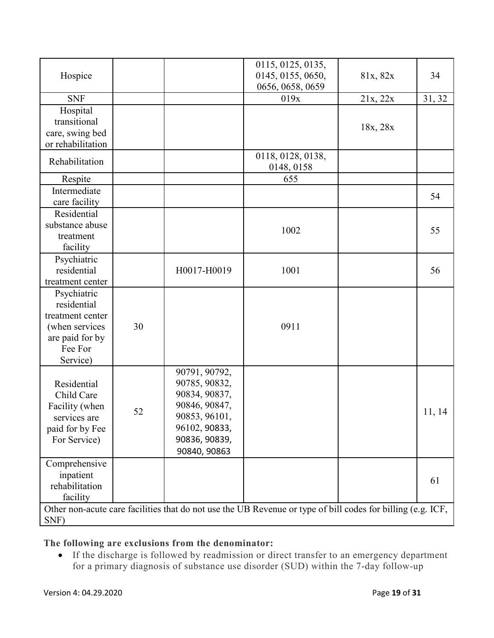|                                 |    |               | 0115, 0125, 0135,                                                                                           |          |        |
|---------------------------------|----|---------------|-------------------------------------------------------------------------------------------------------------|----------|--------|
| Hospice                         |    |               | 0145, 0155, 0650,                                                                                           | 81x, 82x | 34     |
|                                 |    |               | 0656, 0658, 0659                                                                                            |          |        |
| <b>SNF</b>                      |    |               | 019x                                                                                                        | 21x, 22x | 31, 32 |
| Hospital                        |    |               |                                                                                                             |          |        |
| transitional                    |    |               |                                                                                                             |          |        |
| care, swing bed                 |    |               |                                                                                                             | 18x, 28x |        |
| or rehabilitation               |    |               |                                                                                                             |          |        |
| Rehabilitation                  |    |               | 0118, 0128, 0138,                                                                                           |          |        |
|                                 |    |               | 0148, 0158                                                                                                  |          |        |
| Respite                         |    |               | 655                                                                                                         |          |        |
| Intermediate                    |    |               |                                                                                                             |          | 54     |
| care facility                   |    |               |                                                                                                             |          |        |
| Residential                     |    |               |                                                                                                             |          |        |
| substance abuse                 |    |               | 1002                                                                                                        |          | 55     |
| treatment                       |    |               |                                                                                                             |          |        |
| facility                        |    |               |                                                                                                             |          |        |
| Psychiatric                     |    | H0017-H0019   |                                                                                                             |          |        |
| residential<br>treatment center |    |               | 1001                                                                                                        |          | 56     |
|                                 |    |               |                                                                                                             |          |        |
| Psychiatric<br>residential      |    |               |                                                                                                             |          |        |
| treatment center                |    |               |                                                                                                             |          |        |
| (when services                  | 30 |               | 0911                                                                                                        |          |        |
| are paid for by                 |    |               |                                                                                                             |          |        |
| Fee For                         |    |               |                                                                                                             |          |        |
| Service)                        |    |               |                                                                                                             |          |        |
|                                 |    | 90791, 90792, |                                                                                                             |          |        |
| Residential                     |    | 90785, 90832, |                                                                                                             |          |        |
| Child Care                      |    | 90834, 90837, |                                                                                                             |          |        |
| Facility (when                  |    | 90846, 90847, |                                                                                                             |          |        |
| services are                    | 52 | 90853, 96101, |                                                                                                             |          | 11, 14 |
| paid for by Fee                 |    | 96102, 90833, |                                                                                                             |          |        |
| For Service)                    |    | 90836, 90839, |                                                                                                             |          |        |
|                                 |    | 90840, 90863  |                                                                                                             |          |        |
| Comprehensive                   |    |               |                                                                                                             |          |        |
| inpatient                       |    |               |                                                                                                             |          | 61     |
| rehabilitation                  |    |               |                                                                                                             |          |        |
| facility                        |    |               |                                                                                                             |          |        |
|                                 |    |               | Other non-acute care facilities that do not use the UB Revenue or type of bill codes for billing (e.g. ICF, |          |        |

Other non-acute care facilities that do not use the UB Revenue or type of bill codes for billing (e.g. ICF, SNF)

#### **The following are exclusions from the denominator:**

• If the discharge is followed by readmission or direct transfer to an emergency department for a primary diagnosis of substance use disorder (SUD) within the 7-day follow-up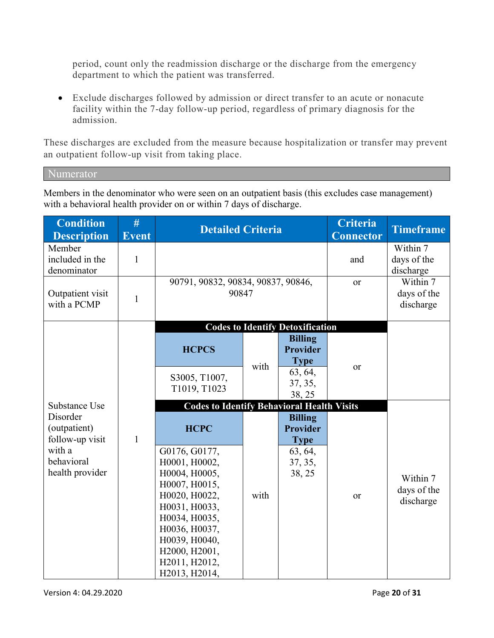period, count only the readmission discharge or the discharge from the emergency department to which the patient was transferred.

• Exclude discharges followed by admission or direct transfer to an acute or nonacute facility within the 7-day follow-up period, regardless of primary diagnosis for the admission.

These discharges are excluded from the measure because hospitalization or transfer may prevent an outpatient follow-up visit from taking place.

Numerator

Members in the denominator who were seen on an outpatient basis (this excludes case management) with a behavioral health provider on or within 7 days of discharge.

| <b>Condition</b><br><b>Description</b>      | #<br><b>Event</b> | <b>Detailed Criteria</b>                          |      |                                                  | <b>Criteria</b><br><b>Connector</b>  | <b>Timeframe</b>                     |
|---------------------------------------------|-------------------|---------------------------------------------------|------|--------------------------------------------------|--------------------------------------|--------------------------------------|
| Member<br>included in the<br>denominator    | $\mathbf{1}$      |                                                   |      |                                                  | and                                  | Within 7<br>days of the<br>discharge |
| Outpatient visit<br>with a PCMP             | $\mathbf{1}$      | 90791, 90832, 90834, 90837, 90846,<br>90847       |      | or                                               | Within 7<br>days of the<br>discharge |                                      |
|                                             |                   |                                                   |      | <b>Codes to Identify Detoxification</b>          |                                      |                                      |
|                                             |                   | <b>HCPCS</b>                                      |      | <b>Billing</b><br><b>Provider</b><br><b>Type</b> |                                      |                                      |
|                                             |                   | S3005, T1007,<br>T1019, T1023                     | with | 63, 64,<br>37, 35,<br>38, 25                     | <b>or</b>                            |                                      |
| Substance Use                               |                   | <b>Codes to Identify Behavioral Health Visits</b> |      |                                                  |                                      |                                      |
| Disorder<br>(outpatient)<br>follow-up visit | $\mathbf{1}$      | <b>HCPC</b>                                       |      | <b>Billing</b><br><b>Provider</b><br><b>Type</b> |                                      |                                      |
| with a                                      |                   | G0176, G0177,                                     |      | 63, 64,                                          |                                      |                                      |
| behavioral                                  |                   | H0001, H0002,                                     |      | 37, 35,                                          |                                      |                                      |
| health provider                             |                   | H0004, H0005,                                     |      | 38, 25                                           |                                      | Within 7                             |
|                                             |                   | H0007, H0015,<br>H0020, H0022,                    | with |                                                  | or                                   | days of the                          |
|                                             |                   | H0031, H0033,                                     |      |                                                  |                                      | discharge                            |
|                                             |                   | H0034, H0035,                                     |      |                                                  |                                      |                                      |
|                                             |                   | H0036, H0037,                                     |      |                                                  |                                      |                                      |
|                                             |                   | H0039, H0040,                                     |      |                                                  |                                      |                                      |
|                                             |                   | H2000, H2001,                                     |      |                                                  |                                      |                                      |
|                                             |                   | H2011, H2012,                                     |      |                                                  |                                      |                                      |
|                                             |                   | H2013, H2014,                                     |      |                                                  |                                      |                                      |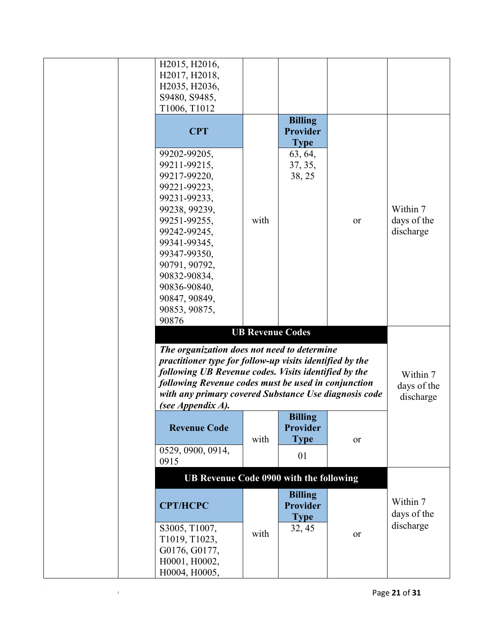|       | H2015, H2016,<br>H2017, H2018,<br>H2035, H2036,                                                                  |                         |                                   |    |                         |
|-------|------------------------------------------------------------------------------------------------------------------|-------------------------|-----------------------------------|----|-------------------------|
|       | S9480, S9485,<br>T1006, T1012                                                                                    |                         |                                   |    |                         |
|       |                                                                                                                  |                         | <b>Billing</b>                    |    |                         |
|       | <b>CPT</b>                                                                                                       |                         | <b>Provider</b><br><b>Type</b>    |    |                         |
|       | 99202-99205,<br>99211-99215,                                                                                     |                         | 63, 64,                           |    |                         |
|       | 99217-99220,                                                                                                     |                         | 37, 35,<br>38, 25                 |    |                         |
|       | 99221-99223,                                                                                                     |                         |                                   |    |                         |
|       | 99231-99233,<br>99238, 99239,                                                                                    |                         |                                   |    | Within 7                |
|       | 99251-99255,                                                                                                     | with                    |                                   | or | days of the             |
|       | 99242-99245,<br>99341-99345,                                                                                     |                         |                                   |    | discharge               |
|       | 99347-99350,                                                                                                     |                         |                                   |    |                         |
|       | 90791, 90792,                                                                                                    |                         |                                   |    |                         |
|       | 90832-90834,                                                                                                     |                         |                                   |    |                         |
|       | 90836-90840,<br>90847, 90849,                                                                                    |                         |                                   |    |                         |
|       | 90853, 90875,                                                                                                    |                         |                                   |    |                         |
| 90876 |                                                                                                                  |                         |                                   |    |                         |
|       |                                                                                                                  | <b>UB Revenue Codes</b> |                                   |    |                         |
|       | The organization does not need to determine                                                                      |                         |                                   |    |                         |
|       | practitioner type for follow-up visits identified by the<br>following UB Revenue codes. Visits identified by the |                         |                                   |    |                         |
|       | following Revenue codes must be used in conjunction                                                              |                         |                                   |    | Within 7<br>days of the |
|       | with any primary covered Substance Use diagnosis code                                                            |                         |                                   |    | discharge               |
|       | (see Appendix A).                                                                                                |                         |                                   |    |                         |
|       | <b>Revenue Code</b>                                                                                              |                         | <b>Billing</b><br><b>Provider</b> |    |                         |
|       |                                                                                                                  | with                    | <b>Type</b>                       | or |                         |
| 0915  | 0529, 0900, 0914,                                                                                                |                         | 01                                |    |                         |
|       | UB Revenue Code 0900 with the following                                                                          |                         |                                   |    |                         |
|       | <b>CPT/HCPC</b>                                                                                                  |                         | <b>Billing</b><br>Provider        |    | Within 7                |
|       |                                                                                                                  |                         | <b>Type</b>                       |    | days of the             |
|       | S3005, T1007,                                                                                                    | with                    | 32, 45                            | or | discharge               |
|       | T1019, T1023,<br>G0176, G0177,                                                                                   |                         |                                   |    |                         |
|       | H0001, H0002,                                                                                                    |                         |                                   |    |                         |
|       | H0004, H0005,                                                                                                    |                         |                                   |    |                         |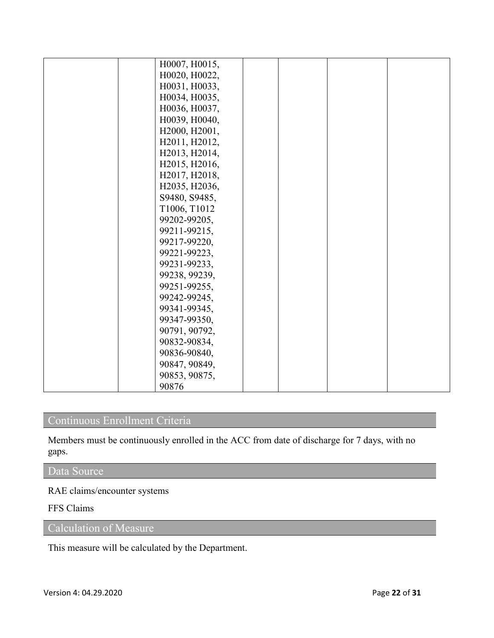| H0007, H0015, |  |  |
|---------------|--|--|
| H0020, H0022, |  |  |
| H0031, H0033, |  |  |
| H0034, H0035, |  |  |
| H0036, H0037, |  |  |
| H0039, H0040, |  |  |
| H2000, H2001, |  |  |
| H2011, H2012, |  |  |
| H2013, H2014, |  |  |
| H2015, H2016, |  |  |
| H2017, H2018, |  |  |
| H2035, H2036, |  |  |
| S9480, S9485, |  |  |
| T1006, T1012  |  |  |
| 99202-99205,  |  |  |
| 99211-99215,  |  |  |
| 99217-99220,  |  |  |
| 99221-99223,  |  |  |
| 99231-99233,  |  |  |
| 99238, 99239, |  |  |
| 99251-99255,  |  |  |
| 99242-99245,  |  |  |
| 99341-99345,  |  |  |
| 99347-99350,  |  |  |
| 90791, 90792, |  |  |
| 90832-90834,  |  |  |
| 90836-90840,  |  |  |
| 90847, 90849, |  |  |
| 90853, 90875, |  |  |
| 90876         |  |  |

## Continuous Enrollment Criteria

Members must be continuously enrolled in the ACC from date of discharge for 7 days, with no gaps.

## Data Source

RAE claims/encounter systems

#### FFS Claims

Calculation of Measure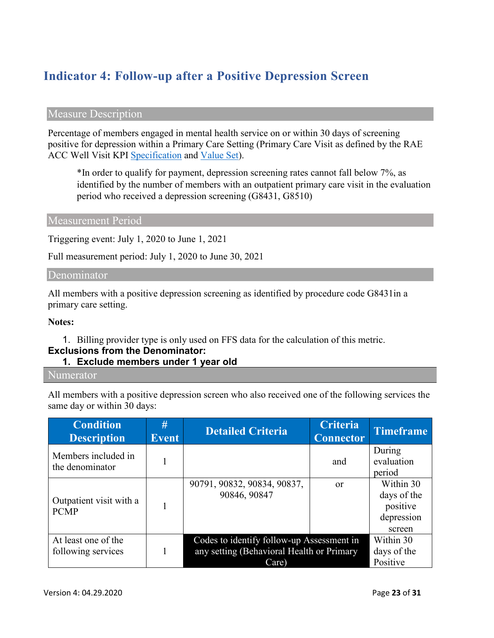# **Indicator 4: Follow-up after a Positive Depression Screen**

#### Measure Description

Percentage of members engaged in mental health service on or within 30 days of screening positive for depression within a Primary Care Setting (Primary Care Visit as defined by the RAE ACC Well Visit KPI [Specification](https://www.colorado.gov/pacific/sites/default/files/Key%20Performance%20Indicator%20Methodology%20Updated%20May%202019.pdf) and [Value Set\)](https://www.colorado.gov/pacific/sites/default/files/ACC%20KPI%20Code%20Value%20Sets%20Updated%20May%202019.xlsx).

\*In order to qualify for payment, depression screening rates cannot fall below 7%, as identified by the number of members with an outpatient primary care visit in the evaluation period who received a depression screening (G8431, G8510)

#### Measurement Period

Triggering event: July 1, 2020 to June 1, 2021

Full measurement period: July 1, 2020 to June 30, 2021

#### Denominator

All members with a positive depression screening as identified by procedure code G8431in a primary care setting.

#### **Notes:**

1. Billing provider type is only used on FFS data for the calculation of this metric.

#### **Exclusions from the Denominator:**

**1. Exclude members under 1 year old**

#### Numerator

All members with a positive depression screen who also received one of the following services the same day or within 30 days:

| <b>Condition</b><br><b>Description</b>    | #<br><b>Event</b> | <b>Detailed Criteria</b>                                                                        | <b>Criteria</b><br><b>Connector</b> | <b>Timeframe</b>                                             |
|-------------------------------------------|-------------------|-------------------------------------------------------------------------------------------------|-------------------------------------|--------------------------------------------------------------|
| Members included in<br>the denominator    |                   |                                                                                                 | and                                 | During<br>evaluation<br>period                               |
| Outpatient visit with a<br><b>PCMP</b>    |                   | 90791, 90832, 90834, 90837,<br>90846, 90847                                                     | $\alpha$                            | Within 30<br>days of the<br>positive<br>depression<br>screen |
| At least one of the<br>following services | 1                 | Codes to identify follow-up Assessment in<br>any setting (Behavioral Health or Primary<br>Care) |                                     | Within 30<br>days of the<br>Positive                         |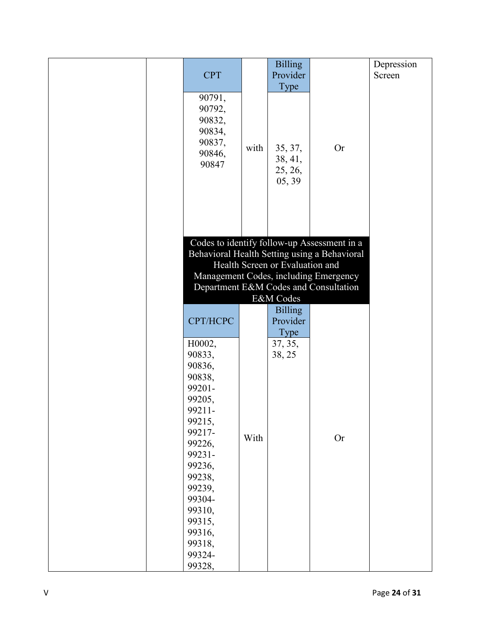|  |            |      | <b>Billing</b>                  |                                              | Depression |
|--|------------|------|---------------------------------|----------------------------------------------|------------|
|  | <b>CPT</b> |      | Provider                        |                                              | Screen     |
|  |            |      | Type                            |                                              |            |
|  | 90791,     |      |                                 |                                              |            |
|  | 90792,     |      |                                 |                                              |            |
|  | 90832,     |      |                                 |                                              |            |
|  |            |      |                                 |                                              |            |
|  | 90834,     |      |                                 |                                              |            |
|  | 90837,     | with | 35, 37,                         | <b>Or</b>                                    |            |
|  | 90846,     |      | 38, 41,                         |                                              |            |
|  | 90847      |      |                                 |                                              |            |
|  |            |      | 25, 26,                         |                                              |            |
|  |            |      | 05, 39                          |                                              |            |
|  |            |      |                                 |                                              |            |
|  |            |      |                                 |                                              |            |
|  |            |      |                                 |                                              |            |
|  |            |      |                                 |                                              |            |
|  |            |      |                                 |                                              |            |
|  |            |      |                                 | Codes to identify follow-up Assessment in a  |            |
|  |            |      |                                 | Behavioral Health Setting using a Behavioral |            |
|  |            |      | Health Screen or Evaluation and |                                              |            |
|  |            |      |                                 | Management Codes, including Emergency        |            |
|  |            |      |                                 | Department E&M Codes and Consultation        |            |
|  |            |      | E&M Codes                       |                                              |            |
|  |            |      |                                 |                                              |            |
|  |            |      | <b>Billing</b>                  |                                              |            |
|  | CPT/HCPC   |      | Provider                        |                                              |            |
|  |            |      | Type                            |                                              |            |
|  | H0002,     |      | 37, 35,                         |                                              |            |
|  | 90833,     |      | 38, 25                          |                                              |            |
|  | 90836,     |      |                                 |                                              |            |
|  | 90838,     |      |                                 |                                              |            |
|  | 99201-     |      |                                 |                                              |            |
|  |            |      |                                 |                                              |            |
|  | 99205,     |      |                                 |                                              |            |
|  | 99211-     |      |                                 |                                              |            |
|  | 99215,     |      |                                 |                                              |            |
|  | 99217-     | With |                                 |                                              |            |
|  | 99226,     |      |                                 | <b>Or</b>                                    |            |
|  | 99231-     |      |                                 |                                              |            |
|  | 99236,     |      |                                 |                                              |            |
|  | 99238,     |      |                                 |                                              |            |
|  |            |      |                                 |                                              |            |
|  | 99239,     |      |                                 |                                              |            |
|  | 99304-     |      |                                 |                                              |            |
|  | 99310,     |      |                                 |                                              |            |
|  | 99315,     |      |                                 |                                              |            |
|  | 99316,     |      |                                 |                                              |            |
|  | 99318,     |      |                                 |                                              |            |
|  | 99324-     |      |                                 |                                              |            |
|  | 99328,     |      |                                 |                                              |            |
|  |            |      |                                 |                                              |            |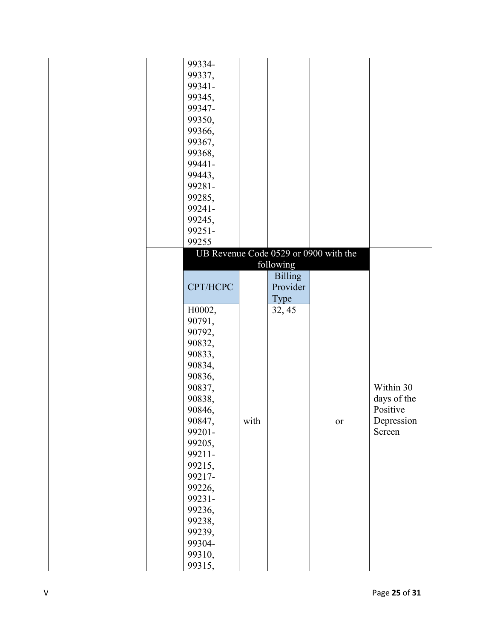|  | 99334-   |      |                |                                       |             |
|--|----------|------|----------------|---------------------------------------|-------------|
|  | 99337,   |      |                |                                       |             |
|  | 99341-   |      |                |                                       |             |
|  | 99345,   |      |                |                                       |             |
|  | 99347-   |      |                |                                       |             |
|  | 99350,   |      |                |                                       |             |
|  | 99366,   |      |                |                                       |             |
|  | 99367,   |      |                |                                       |             |
|  | 99368,   |      |                |                                       |             |
|  | 99441-   |      |                |                                       |             |
|  | 99443,   |      |                |                                       |             |
|  | 99281-   |      |                |                                       |             |
|  | 99285,   |      |                |                                       |             |
|  | 99241-   |      |                |                                       |             |
|  | 99245,   |      |                |                                       |             |
|  | 99251-   |      |                |                                       |             |
|  | 99255    |      |                |                                       |             |
|  |          |      |                | UB Revenue Code 0529 or 0900 with the |             |
|  |          |      | following      |                                       |             |
|  |          |      | <b>Billing</b> |                                       |             |
|  | CPT/HCPC |      | Provider       |                                       |             |
|  |          |      | Type           |                                       |             |
|  | H0002,   |      | 32, 45         |                                       |             |
|  | 90791,   |      |                |                                       |             |
|  | 90792,   |      |                |                                       |             |
|  | 90832,   |      |                |                                       |             |
|  | 90833,   |      |                |                                       |             |
|  | 90834,   |      |                |                                       |             |
|  | 90836,   |      |                |                                       |             |
|  | 90837,   |      |                |                                       | Within 30   |
|  | 90838,   |      |                |                                       | days of the |
|  | 90846,   |      |                |                                       | Positive    |
|  | 90847,   | with |                | <b>or</b>                             | Depression  |
|  | 99201-   |      |                |                                       | Screen      |
|  | 99205,   |      |                |                                       |             |
|  | 99211-   |      |                |                                       |             |
|  | 99215,   |      |                |                                       |             |
|  | 99217-   |      |                |                                       |             |
|  | 99226,   |      |                |                                       |             |
|  | 99231-   |      |                |                                       |             |
|  | 99236,   |      |                |                                       |             |
|  | 99238,   |      |                |                                       |             |
|  | 99239,   |      |                |                                       |             |
|  | 99304-   |      |                |                                       |             |
|  | 99310,   |      |                |                                       |             |
|  | 99315,   |      |                |                                       |             |
|  |          |      |                |                                       |             |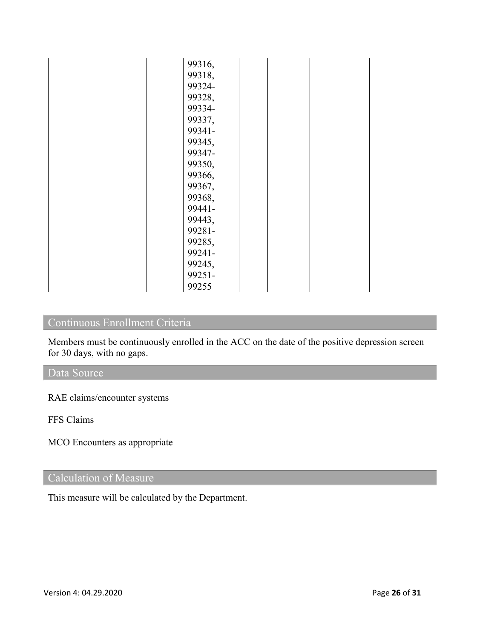| 99316, |  |  |
|--------|--|--|
| 99318, |  |  |
| 99324- |  |  |
| 99328, |  |  |
| 99334- |  |  |
| 99337, |  |  |
| 99341- |  |  |
| 99345, |  |  |
| 99347- |  |  |
| 99350, |  |  |
| 99366, |  |  |
| 99367, |  |  |
|        |  |  |
| 99368, |  |  |
| 99441- |  |  |
| 99443, |  |  |
| 99281- |  |  |
| 99285, |  |  |
| 99241- |  |  |
| 99245, |  |  |
| 99251- |  |  |
| 99255  |  |  |

## Continuous Enrollment Criteria

Members must be continuously enrolled in the ACC on the date of the positive depression screen for 30 days, with no gaps.

### Data Source

RAE claims/encounter systems

FFS Claims

MCO Encounters as appropriate

### Calculation of Measure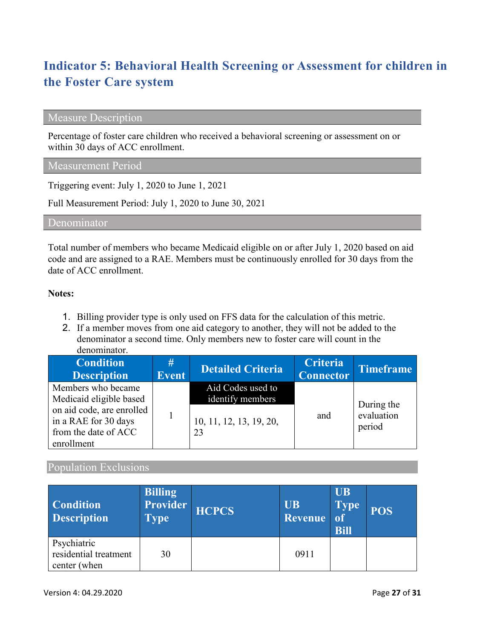# **Indicator 5: Behavioral Health Screening or Assessment for children in the Foster Care system**

#### Measure Description

Percentage of foster care children who received a behavioral screening or assessment on or within 30 days of ACC enrollment.

#### Measurement Period

Triggering event: July 1, 2020 to June 1, 2021

Full Measurement Period: July 1, 2020 to June 30, 2021

Denominator

Total number of members who became Medicaid eligible on or after July 1, 2020 based on aid code and are assigned to a RAE. Members must be continuously enrolled for 30 days from the date of ACC enrollment.

#### **Notes:**

- 1. Billing provider type is only used on FFS data for the calculation of this metric.
- 2. If a member moves from one aid category to another, they will not be added to the denominator a second time. Only members new to foster care will count in the denominator.

| <b>Condition</b><br><b>Description</b>                                                  | #<br><b>Event</b> | <b>Detailed Criteria</b>              | <b>Criteria</b><br><b>Connector</b> | Timeframe                          |
|-----------------------------------------------------------------------------------------|-------------------|---------------------------------------|-------------------------------------|------------------------------------|
| Members who became<br>Medicaid eligible based                                           |                   | Aid Codes used to<br>identify members |                                     |                                    |
| on aid code, are enrolled<br>in a RAE for 30 days<br>from the date of ACC<br>enrollment |                   | 10, 11, 12, 13, 19, 20,<br>23         | and                                 | During the<br>evaluation<br>period |

#### Population Exclusions

| <b>Condition</b><br><b>Description</b>               | <b>Billing</b><br>Provider<br><b>Type</b> | <b>HCPCS</b> | <b>UB</b><br>Revenue | <b>UB</b><br><b>Type</b><br><sub>of</sub><br><b>Bill</b> | <b>POS</b> |
|------------------------------------------------------|-------------------------------------------|--------------|----------------------|----------------------------------------------------------|------------|
| Psychiatric<br>residential treatment<br>center (when | 30                                        |              | 0911                 |                                                          |            |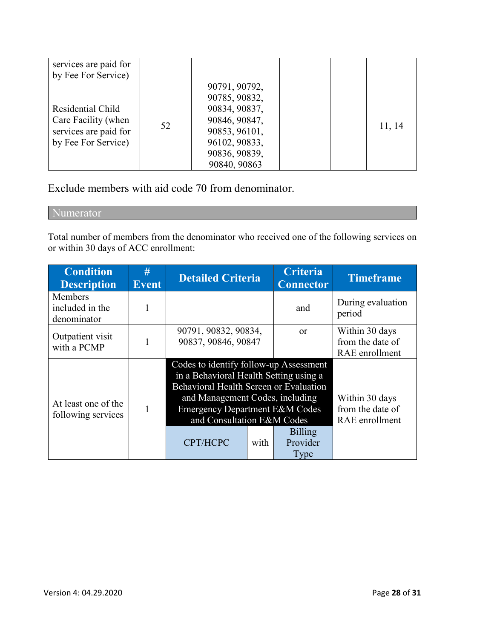| services are paid for<br>by Fee For Service)                                             |    |                                                                                                                                     |  |        |
|------------------------------------------------------------------------------------------|----|-------------------------------------------------------------------------------------------------------------------------------------|--|--------|
| Residential Child<br>Care Facility (when<br>services are paid for<br>by Fee For Service) | 52 | 90791, 90792,<br>90785, 90832,<br>90834, 90837,<br>90846, 90847,<br>90853, 96101,<br>96102, 90833,<br>90836, 90839,<br>90840, 90863 |  | 11, 14 |

Exclude members with aid code 70 from denominator.

Numerator

Total number of members from the denominator who received one of the following services on or within 30 days of ACC enrollment:

| <b>Condition</b><br><b>Description</b>    | #<br><b>Event</b> | <b>Detailed Criteria</b>                                                                                                                                                                                                                                                                           |  | <b>Criteria</b><br><b>Connector</b>                  | <b>Timeframe</b>                                     |
|-------------------------------------------|-------------------|----------------------------------------------------------------------------------------------------------------------------------------------------------------------------------------------------------------------------------------------------------------------------------------------------|--|------------------------------------------------------|------------------------------------------------------|
| Members<br>included in the<br>denominator |                   |                                                                                                                                                                                                                                                                                                    |  | and                                                  | During evaluation<br>period                          |
| Outpatient visit<br>with a PCMP           |                   | 90791, 90832, 90834,<br>90837, 90846, 90847                                                                                                                                                                                                                                                        |  | <sub>or</sub>                                        | Within 30 days<br>from the date of<br>RAE enrollment |
| At least one of the<br>following services |                   | Codes to identify follow-up Assessment<br>in a Behavioral Health Setting using a<br>Behavioral Health Screen or Evaluation<br>and Management Codes, including<br><b>Emergency Department E&amp;M Codes</b><br>and Consultation E&M Codes<br><b>Billing</b><br>CPT/HCPC<br>Provider<br>with<br>Type |  | Within 30 days<br>from the date of<br>RAE enrollment |                                                      |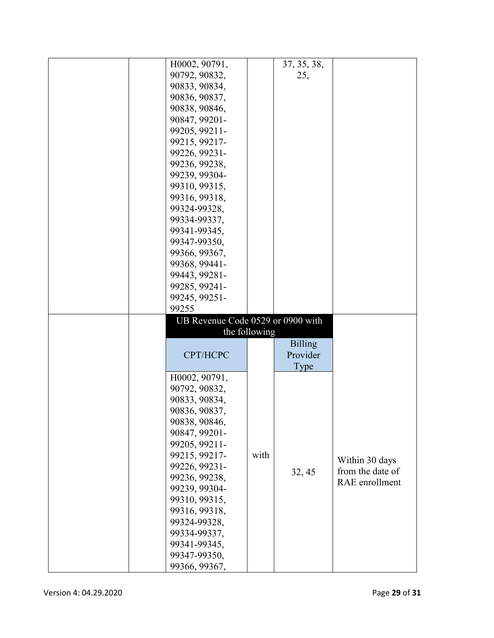| H0002, 90791,                     |               | 37, 35, 38,    |                  |
|-----------------------------------|---------------|----------------|------------------|
|                                   |               |                |                  |
| 90792, 90832,                     |               | 25,            |                  |
| 90833, 90834,                     |               |                |                  |
| 90836, 90837,                     |               |                |                  |
| 90838, 90846,                     |               |                |                  |
| 90847, 99201-                     |               |                |                  |
| 99205, 99211-                     |               |                |                  |
| 99215, 99217-                     |               |                |                  |
| 99226, 99231-                     |               |                |                  |
| 99236, 99238,                     |               |                |                  |
| 99239, 99304-                     |               |                |                  |
| 99310, 99315,                     |               |                |                  |
| 99316, 99318,                     |               |                |                  |
|                                   |               |                |                  |
| 99324-99328,                      |               |                |                  |
| 99334-99337,                      |               |                |                  |
| 99341-99345,                      |               |                |                  |
| 99347-99350,                      |               |                |                  |
| 99366, 99367,                     |               |                |                  |
| 99368, 99441-                     |               |                |                  |
| 99443, 99281-                     |               |                |                  |
| 99285, 99241-                     |               |                |                  |
| 99245, 99251-                     |               |                |                  |
|                                   |               |                |                  |
|                                   |               |                |                  |
| 99255                             |               |                |                  |
| UB Revenue Code 0529 or 0900 with |               |                |                  |
|                                   | the following |                |                  |
|                                   |               | <b>Billing</b> |                  |
| CPT/HCPC                          |               | Provider       |                  |
|                                   |               | Type           |                  |
| H0002, 90791,                     |               |                |                  |
| 90792, 90832,                     |               |                |                  |
| 90833, 90834,                     |               |                |                  |
| 90836, 90837,                     |               |                |                  |
|                                   |               |                |                  |
| 90838, 90846,<br>90847, 99201-    |               |                |                  |
|                                   |               |                |                  |
| 99205, 99211-                     |               |                |                  |
| 99215, 99217-                     | with          |                | Within 30 days   |
| 99226, 99231-                     |               | 32, 45         | from the date of |
| 99236, 99238,                     |               |                | RAE enrollment   |
| 99239, 99304-                     |               |                |                  |
| 99310, 99315,                     |               |                |                  |
| 99316, 99318,                     |               |                |                  |
| 99324-99328,                      |               |                |                  |
| 99334-99337,                      |               |                |                  |
| 99341-99345,                      |               |                |                  |
| 99347-99350,<br>99366, 99367,     |               |                |                  |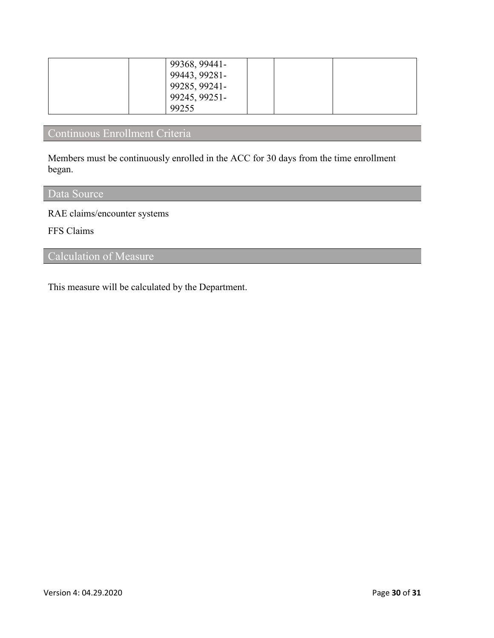| 99368, 99441- |  |
|---------------|--|
| 99443, 99281- |  |
| 99285, 99241- |  |
| 99245, 99251- |  |
| 99255         |  |

## Continuous Enrollment Criteria

Members must be continuously enrolled in the ACC for 30 days from the time enrollment began.

## Data Source

RAE claims/encounter systems

FFS Claims

## Calculation of Measure